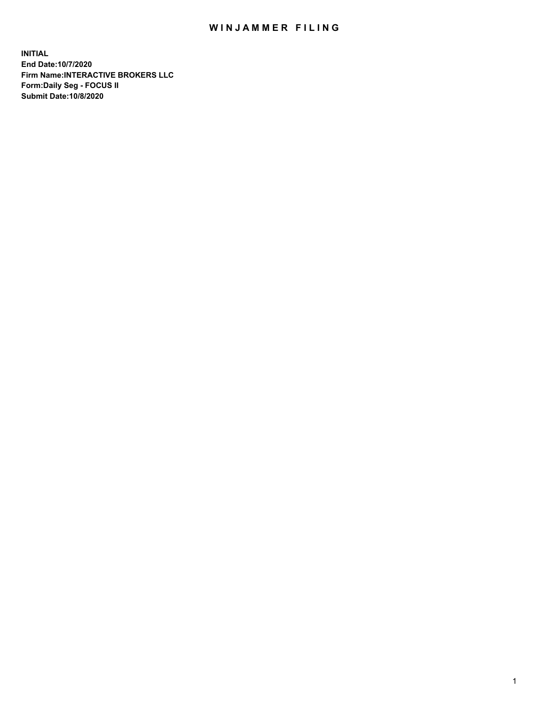## WIN JAMMER FILING

**INITIAL End Date:10/7/2020 Firm Name:INTERACTIVE BROKERS LLC Form:Daily Seg - FOCUS II Submit Date:10/8/2020**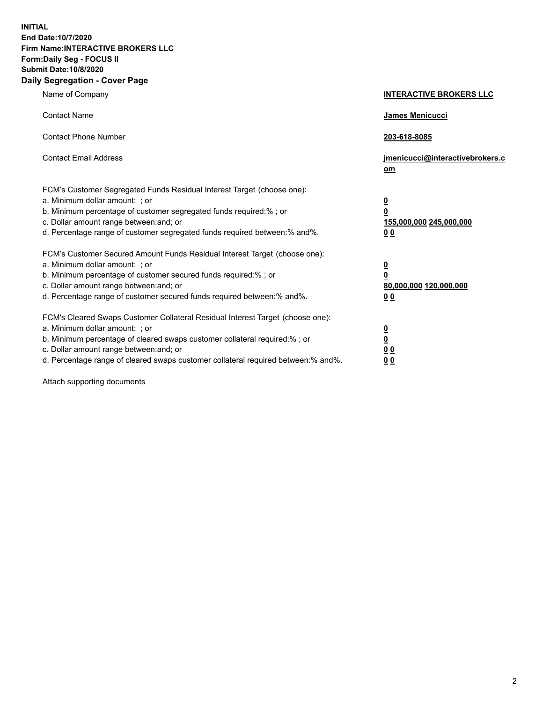**INITIAL End Date:10/7/2020 Firm Name:INTERACTIVE BROKERS LLC Form:Daily Seg - FOCUS II Submit Date:10/8/2020 Daily Segregation - Cover Page**

| Name of Company                                                                                                                                                                                                                                                                                                               | <b>INTERACTIVE BROKERS LLC</b>                                                                  |
|-------------------------------------------------------------------------------------------------------------------------------------------------------------------------------------------------------------------------------------------------------------------------------------------------------------------------------|-------------------------------------------------------------------------------------------------|
| <b>Contact Name</b>                                                                                                                                                                                                                                                                                                           | <b>James Menicucci</b>                                                                          |
| <b>Contact Phone Number</b>                                                                                                                                                                                                                                                                                                   | 203-618-8085                                                                                    |
| <b>Contact Email Address</b>                                                                                                                                                                                                                                                                                                  | jmenicucci@interactivebrokers.c<br>om                                                           |
| FCM's Customer Segregated Funds Residual Interest Target (choose one):<br>a. Minimum dollar amount: ; or<br>b. Minimum percentage of customer segregated funds required:% ; or<br>c. Dollar amount range between: and; or<br>d. Percentage range of customer segregated funds required between:% and%.                        | $\overline{\mathbf{0}}$<br>$\overline{\mathbf{0}}$<br>155,000,000 245,000,000<br>0 <sub>0</sub> |
| FCM's Customer Secured Amount Funds Residual Interest Target (choose one):<br>a. Minimum dollar amount: ; or<br>b. Minimum percentage of customer secured funds required:%; or<br>c. Dollar amount range between: and; or<br>d. Percentage range of customer secured funds required between:% and%.                           | $\overline{\mathbf{0}}$<br>$\pmb{0}$<br>80,000,000 120,000,000<br>0 <sub>0</sub>                |
| FCM's Cleared Swaps Customer Collateral Residual Interest Target (choose one):<br>a. Minimum dollar amount: ; or<br>b. Minimum percentage of cleared swaps customer collateral required:%; or<br>c. Dollar amount range between: and; or<br>d. Percentage range of cleared swaps customer collateral required between:% and%. | $\overline{\mathbf{0}}$<br><u>0</u><br>0 <sub>0</sub><br>00                                     |

Attach supporting documents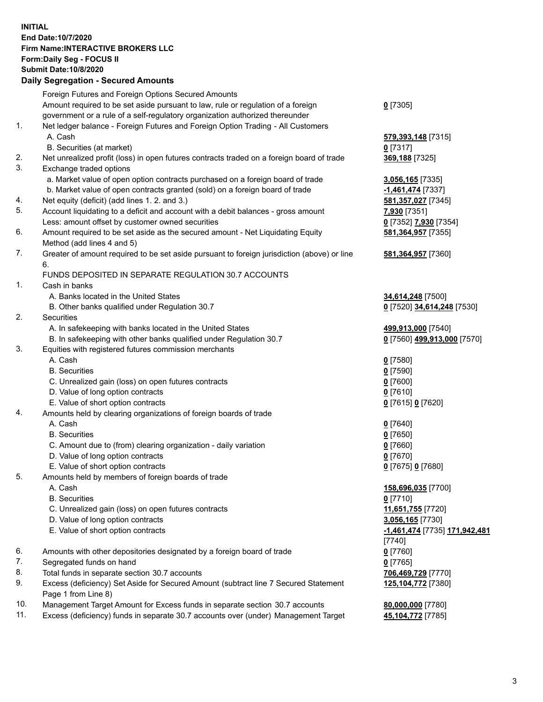**INITIAL End Date:10/7/2020 Firm Name:INTERACTIVE BROKERS LLC Form:Daily Seg - FOCUS II Submit Date:10/8/2020 Daily Segregation - Secured Amounts**

|     | Daily Jegregation - Jeculed Aniounts                                                        |                               |
|-----|---------------------------------------------------------------------------------------------|-------------------------------|
|     | Foreign Futures and Foreign Options Secured Amounts                                         |                               |
|     | Amount required to be set aside pursuant to law, rule or regulation of a foreign            | $0$ [7305]                    |
|     | government or a rule of a self-regulatory organization authorized thereunder                |                               |
| 1.  | Net ledger balance - Foreign Futures and Foreign Option Trading - All Customers             |                               |
|     | A. Cash                                                                                     | 579,393,148 [7315]            |
|     | B. Securities (at market)                                                                   | $0$ [7317]                    |
| 2.  | Net unrealized profit (loss) in open futures contracts traded on a foreign board of trade   | 369,188 [7325]                |
| 3.  | Exchange traded options                                                                     |                               |
|     | a. Market value of open option contracts purchased on a foreign board of trade              | 3,056,165 [7335]              |
|     | b. Market value of open contracts granted (sold) on a foreign board of trade                | -1,461,474 [7337]             |
| 4.  | Net equity (deficit) (add lines 1. 2. and 3.)                                               | 581, 357, 027 [7345]          |
| 5.  | Account liquidating to a deficit and account with a debit balances - gross amount           | 7,930 [7351]                  |
|     | Less: amount offset by customer owned securities                                            | 0 [7352] 7,930 [7354]         |
| 6.  | Amount required to be set aside as the secured amount - Net Liquidating Equity              | 581, 364, 957 [7355]          |
|     | Method (add lines 4 and 5)                                                                  |                               |
| 7.  | Greater of amount required to be set aside pursuant to foreign jurisdiction (above) or line |                               |
|     | 6.                                                                                          | 581,364,957 [7360]            |
|     |                                                                                             |                               |
|     | FUNDS DEPOSITED IN SEPARATE REGULATION 30.7 ACCOUNTS                                        |                               |
| 1.  | Cash in banks                                                                               |                               |
|     | A. Banks located in the United States                                                       | 34,614,248 [7500]             |
|     | B. Other banks qualified under Regulation 30.7                                              | 0 [7520] 34,614,248 [7530]    |
| 2.  | Securities                                                                                  |                               |
|     | A. In safekeeping with banks located in the United States                                   | 499,913,000 [7540]            |
|     | B. In safekeeping with other banks qualified under Regulation 30.7                          | 0 [7560] 499,913,000 [7570]   |
| 3.  | Equities with registered futures commission merchants                                       |                               |
|     | A. Cash                                                                                     | $0$ [7580]                    |
|     | <b>B.</b> Securities                                                                        | $0$ [7590]                    |
|     | C. Unrealized gain (loss) on open futures contracts                                         | $0$ [7600]                    |
|     | D. Value of long option contracts                                                           | $0$ [7610]                    |
|     | E. Value of short option contracts                                                          | 0 [7615] 0 [7620]             |
| 4.  | Amounts held by clearing organizations of foreign boards of trade                           |                               |
|     | A. Cash                                                                                     | $0$ [7640]                    |
|     | <b>B.</b> Securities                                                                        | $0$ [7650]                    |
|     | C. Amount due to (from) clearing organization - daily variation                             | $0$ [7660]                    |
|     | D. Value of long option contracts                                                           | $0$ [7670]                    |
|     | E. Value of short option contracts                                                          | 0 [7675] 0 [7680]             |
| 5.  | Amounts held by members of foreign boards of trade                                          |                               |
|     | A. Cash                                                                                     | 158,696,035 [7700]            |
|     | <b>B.</b> Securities                                                                        | $0$ [7710]                    |
|     | C. Unrealized gain (loss) on open futures contracts                                         | 11,651,755 [7720]             |
|     | D. Value of long option contracts                                                           | 3,056,165 [7730]              |
|     | E. Value of short option contracts                                                          | -1,461,474 [7735] 171,942,481 |
|     |                                                                                             | [7740]                        |
| 6.  | Amounts with other depositories designated by a foreign board of trade                      | $0$ [7760]                    |
| 7.  | Segregated funds on hand                                                                    | $0$ [7765]                    |
| 8.  | Total funds in separate section 30.7 accounts                                               | 706,469,729 [7770]            |
| 9.  | Excess (deficiency) Set Aside for Secured Amount (subtract line 7 Secured Statement         | 125,104,772 [7380]            |
|     | Page 1 from Line 8)                                                                         |                               |
| 10. | Management Target Amount for Excess funds in separate section 30.7 accounts                 | 80,000,000 [7780]             |
| 11. | Excess (deficiency) funds in separate 30.7 accounts over (under) Management Target          | 45,104,772 [7785]             |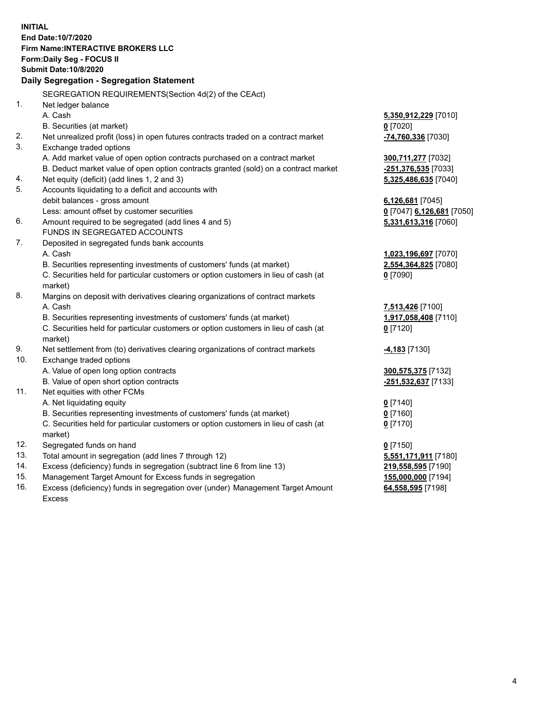**INITIAL End Date:10/7/2020 Firm Name:INTERACTIVE BROKERS LLC Form:Daily Seg - FOCUS II Submit Date:10/8/2020 Daily Segregation - Segregation Statement** SEGREGATION REQUIREMENTS(Section 4d(2) of the CEAct) 1. Net ledger balance A. Cash **5,350,912,229** [7010] B. Securities (at market) **0** [7020] 2. Net unrealized profit (loss) in open futures contracts traded on a contract market **-74,760,336** [7030] 3. Exchange traded options A. Add market value of open option contracts purchased on a contract market **300,711,277** [7032] B. Deduct market value of open option contracts granted (sold) on a contract market **-251,376,535** [7033] 4. Net equity (deficit) (add lines 1, 2 and 3) **5,325,486,635** [7040] 5. Accounts liquidating to a deficit and accounts with debit balances - gross amount **6,126,681** [7045] Less: amount offset by customer securities **0** [7047] **6,126,681** [7050] 6. Amount required to be segregated (add lines 4 and 5) **5,331,613,316** [7060] FUNDS IN SEGREGATED ACCOUNTS 7. Deposited in segregated funds bank accounts A. Cash **1,023,196,697** [7070] B. Securities representing investments of customers' funds (at market) **2,554,364,825** [7080] C. Securities held for particular customers or option customers in lieu of cash (at market) **0** [7090] 8. Margins on deposit with derivatives clearing organizations of contract markets A. Cash **7,513,426** [7100] B. Securities representing investments of customers' funds (at market) **1,917,058,408** [7110] C. Securities held for particular customers or option customers in lieu of cash (at market) **0** [7120] 9. Net settlement from (to) derivatives clearing organizations of contract markets **-4,183** [7130] 10. Exchange traded options A. Value of open long option contracts **300,575,375** [7132] B. Value of open short option contracts **-251,532,637** [7133] 11. Net equities with other FCMs A. Net liquidating equity **0** [7140] B. Securities representing investments of customers' funds (at market) **0** [7160] C. Securities held for particular customers or option customers in lieu of cash (at market) **0** [7170] 12. Segregated funds on hand **0** [7150] 13. Total amount in segregation (add lines 7 through 12) **5,551,171,911** [7180] 14. Excess (deficiency) funds in segregation (subtract line 6 from line 13) **219,558,595** [7190] 15. Management Target Amount for Excess funds in segregation **155,000,000** [7194] 16. Excess (deficiency) funds in segregation over (under) Management Target Amount **64,558,595** [7198]

Excess